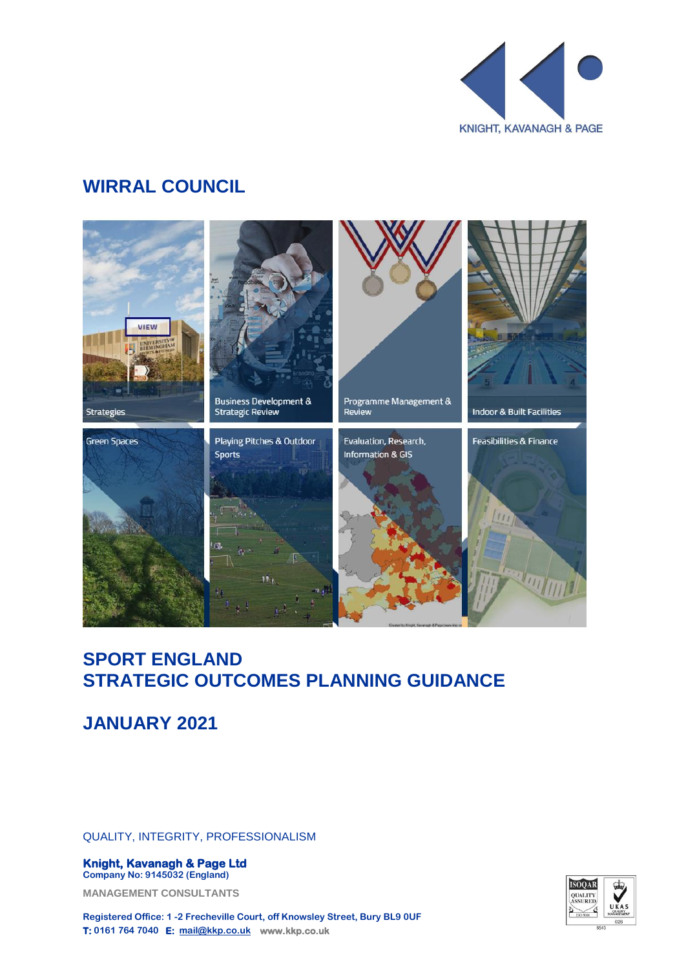

# **WIRRAL COUNCIL**



# **SPORT ENGLAND STRATEGIC OUTCOMES PLANNING GUIDANCE**

# **JANUARY 2021**

## QUALITY, INTEGRITY, PROFESSIONALISM

**Knight, Kavanagh & Page Ltd Company No: 9145032 (England)**

**MANAGEMENT CONSULTANTS**

**Registered Office: 1 -2 Frecheville Court, off Knowsley Street, Bury BL9 0UF T: 0161 764 7040 E: mail@kkp.co.uk www.kkp.co.uk**

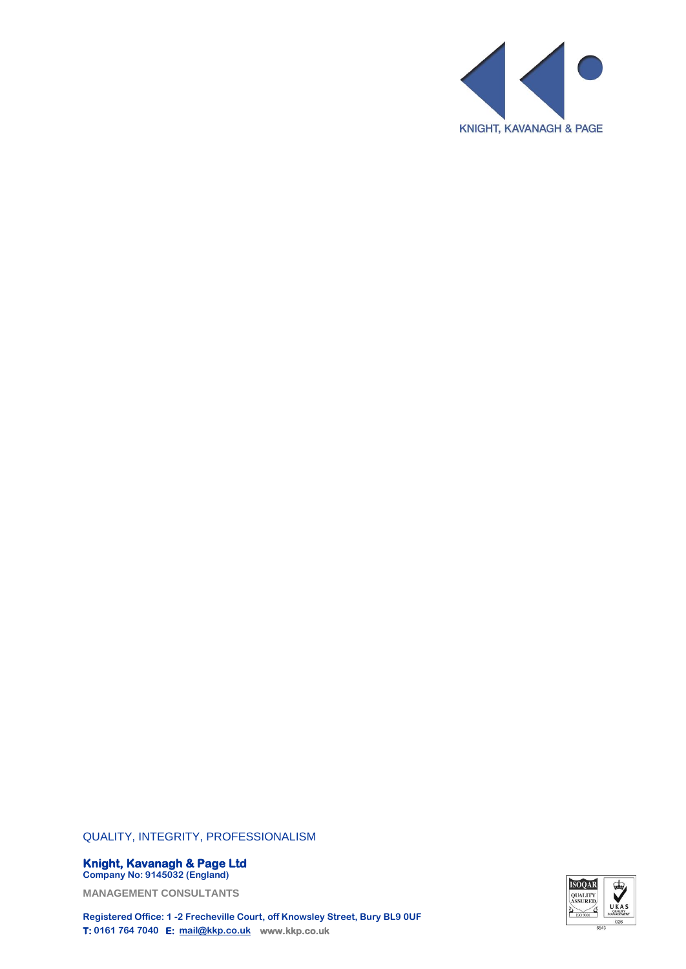

#### QUALITY, INTEGRITY, PROFESSIONALISM

**Knight, Kavanagh & Page Ltd Company No: 9145032 (England)**

**MANAGEMENT CONSULTANTS**

**Registered Office: 1 -2 Frecheville Court, off Knowsley Street, Bury BL9 0UF T: 0161 764 7040 E: mail@kkp.co.uk www.kkp.co.uk**

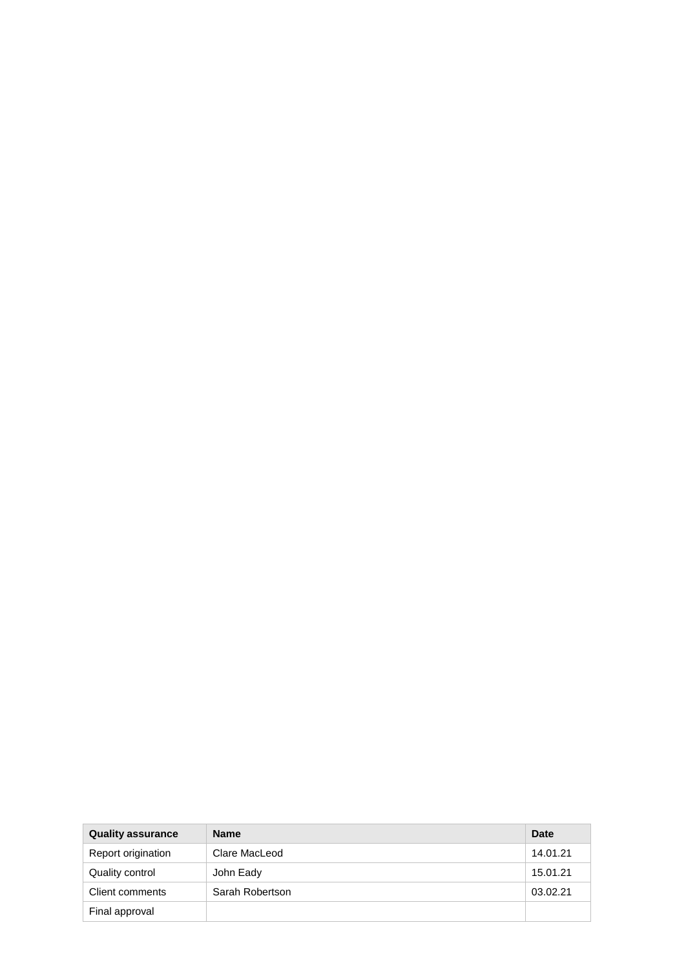| <b>Quality assurance</b> | <b>Name</b>     | Date     |
|--------------------------|-----------------|----------|
| Report origination       | Clare MacLeod   | 14.01.21 |
| Quality control          | John Eady       | 15.01.21 |
| Client comments          | Sarah Robertson | 03.02.21 |
| Final approval           |                 |          |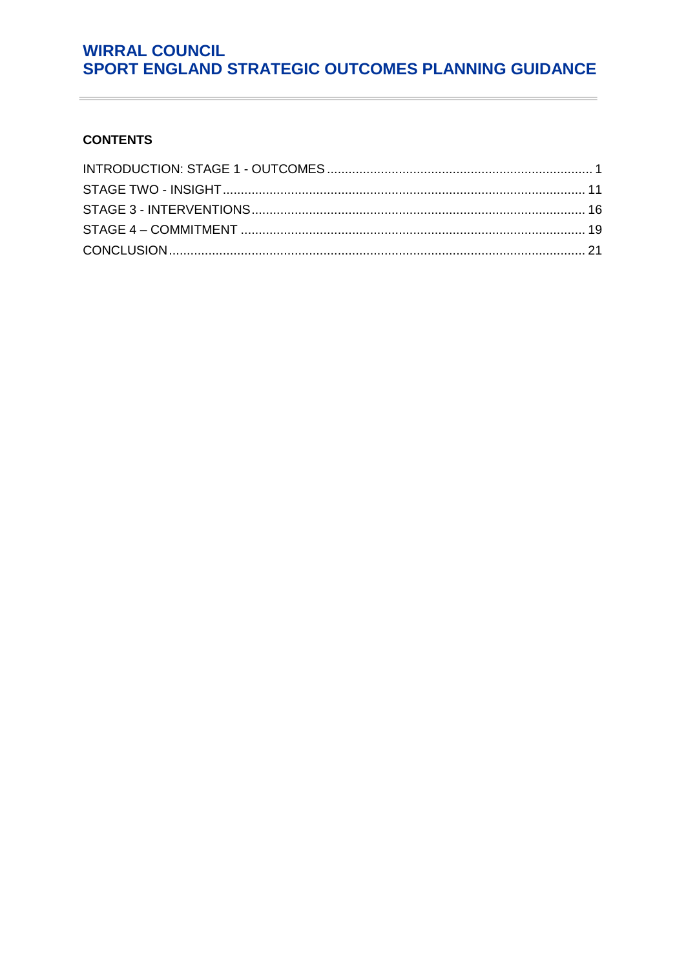## **WIRRAL COUNCIL** SPORT ENGLAND STRATEGIC OUTCOMES PLANNING GUIDANCE

## **CONTENTS**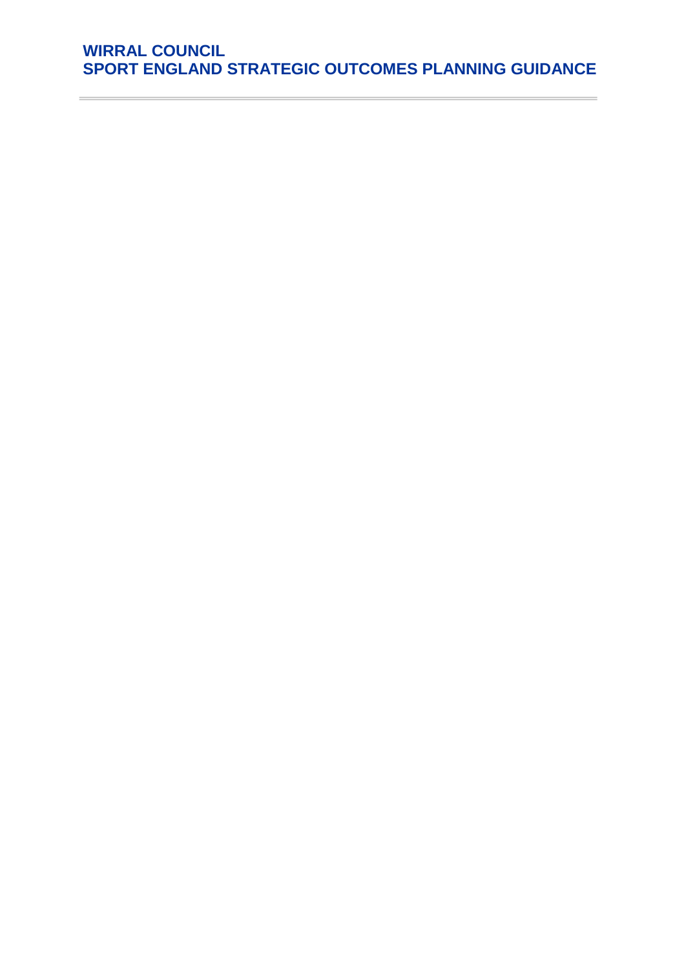## **WIRRAL COUNCIL SPORT ENGLAND STRATEGIC OUTCOMES PLANNING GUIDANCE**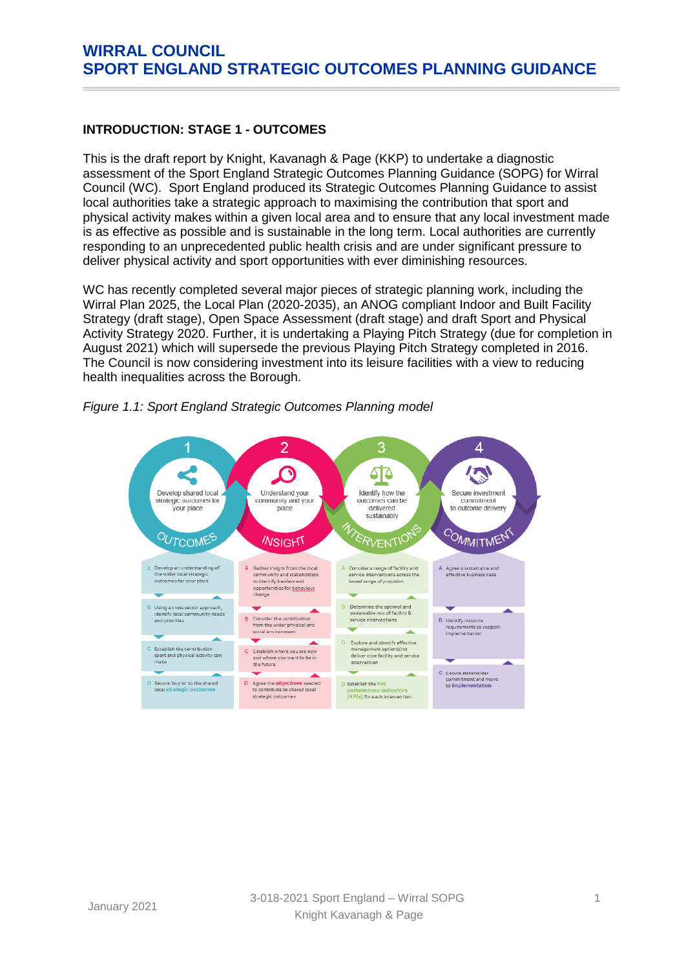## <span id="page-5-0"></span>**INTRODUCTION: STAGE 1 - OUTCOMES**

This is the draft report by Knight, Kavanagh & Page (KKP) to undertake a diagnostic assessment of the Sport England Strategic Outcomes Planning Guidance (SOPG) for Wirral Council (WC). Sport England produced its Strategic Outcomes Planning Guidance to assist local authorities take a strategic approach to maximising the contribution that sport and physical activity makes within a given local area and to ensure that any local investment made is as effective as possible and is sustainable in the long term. Local authorities are currently responding to an unprecedented public health crisis and are under significant pressure to deliver physical activity and sport opportunities with ever diminishing resources.

WC has recently completed several major pieces of strategic planning work, including the Wirral Plan 2025, the Local Plan (2020-2035), an ANOG compliant Indoor and Built Facility Strategy (draft stage), Open Space Assessment (draft stage) and draft Sport and Physical Activity Strategy 2020. Further, it is undertaking a Playing Pitch Strategy (due for completion in August 2021) which will supersede the previous Playing Pitch Strategy completed in 2016. The Council is now considering investment into its leisure facilities with a view to reducing health inequalities across the Borough.



*Figure 1.1: Sport England Strategic Outcomes Planning model*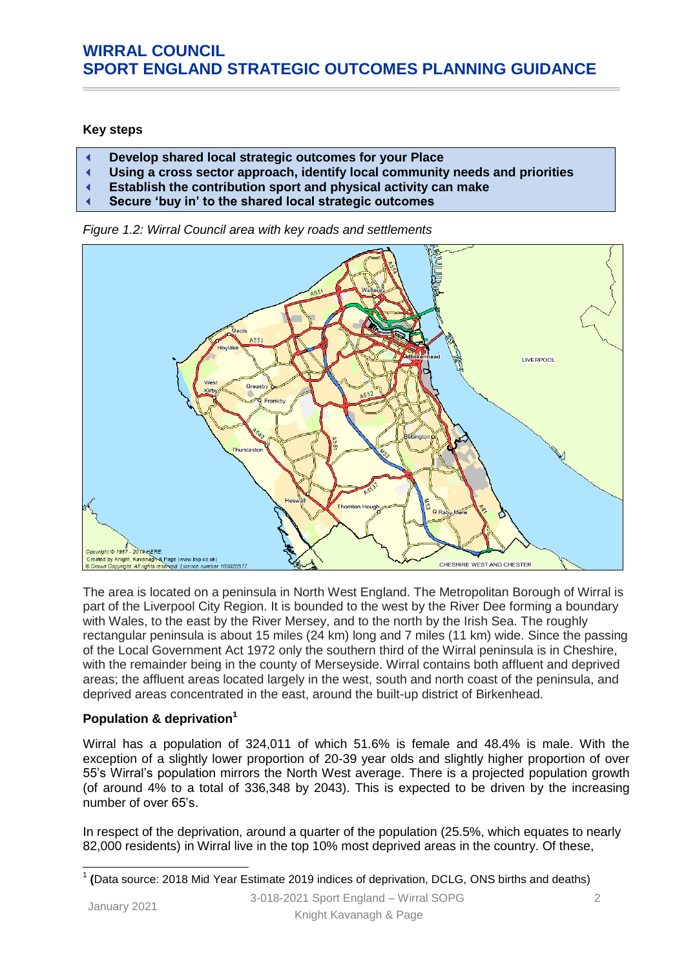## **Key steps**

- **Develop shared local strategic outcomes for your Place**
- **Using a cross sector approach, identify local community needs and priorities**
- **Establish the contribution sport and physical activity can make**
- **Secure 'buy in' to the shared local strategic outcomes**

*Figure 1.2: Wirral Council area with key roads and settlements*



The area is located on a peninsula in North West England. The Metropolitan Borough of Wirral is part of the Liverpool City Region. It is bounded to the west by the River Dee forming a boundary with Wales, to the east by the River Mersey, and to the north by the Irish Sea. The roughly rectangular peninsula is about 15 miles (24 km) long and 7 miles (11 km) wide. Since the passing of the Local Government Act 1972 only the southern third of the Wirral peninsula is in Cheshire, with the remainder being in the county of Merseyside. Wirral contains both affluent and deprived areas; the affluent areas located largely in the west, south and north coast of the peninsula, and deprived areas concentrated in the east, around the built-up district of Birkenhead.

## **Population & deprivation<sup>1</sup>**

Wirral has a population of 324,011 of which 51.6% is female and 48.4% is male. With the exception of a slightly lower proportion of 20-39 year olds and slightly higher proportion of over 55's Wirral's population mirrors the North West average. There is a projected population growth (of around 4% to a total of 336,348 by 2043). This is expected to be driven by the increasing number of over 65's.

In respect of the deprivation, around a quarter of the population (25.5%, which equates to nearly 82,000 residents) in Wirral live in the top 10% most deprived areas in the country. Of these,

 $\overline{a}$ 1 **(**Data source: 2018 Mid Year Estimate 2019 indices of deprivation, DCLG, ONS births and deaths)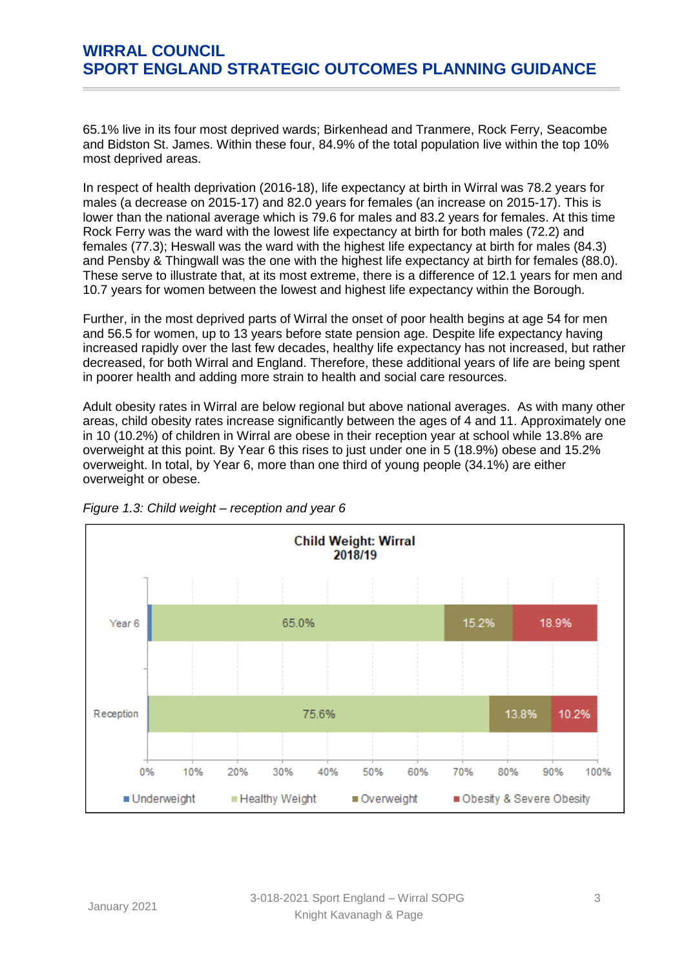65.1% live in its four most deprived wards; Birkenhead and Tranmere, Rock Ferry, Seacombe and Bidston St. James. Within these four, 84.9% of the total population live within the top 10% most deprived areas.

In respect of health deprivation (2016-18), life expectancy at birth in Wirral was 78.2 years for males (a decrease on 2015-17) and 82.0 years for females (an increase on 2015-17). This is lower than the national average which is 79.6 for males and 83.2 years for females. At this time Rock Ferry was the ward with the lowest life expectancy at birth for both males (72.2) and females (77.3); Heswall was the ward with the highest life expectancy at birth for males (84.3) and Pensby & Thingwall was the one with the highest life expectancy at birth for females (88.0). These serve to illustrate that, at its most extreme, there is a difference of 12.1 years for men and 10.7 years for women between the lowest and highest life expectancy within the Borough.

Further, in the most deprived parts of Wirral the onset of poor health begins at age 54 for men and 56.5 for women, up to 13 years before state pension age. Despite life expectancy having increased rapidly over the last few decades, healthy life expectancy has not increased, but rather decreased, for both Wirral and England. Therefore, these additional years of life are being spent in poorer health and adding more strain to health and social care resources.

Adult obesity rates in Wirral are below regional but above national averages. As with many other areas, child obesity rates increase significantly between the ages of 4 and 11. Approximately one in 10 (10.2%) of children in Wirral are obese in their reception year at school while 13.8% are overweight at this point. By Year 6 this rises to just under one in 5 (18.9%) obese and 15.2% overweight. In total, by Year 6, more than one third of young people (34.1%) are either overweight or obese.



*Figure 1.3: Child weight – reception and year 6*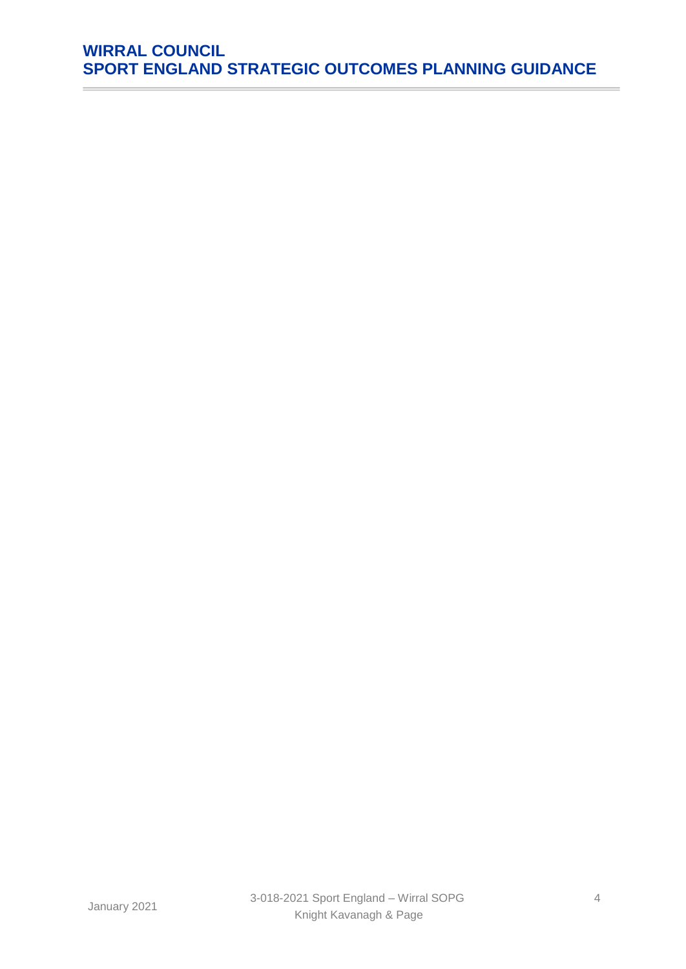## **WIRRAL COUNCIL SPORT ENGLAND STRATEGIC OUTCOMES PLANNING GUIDANCE**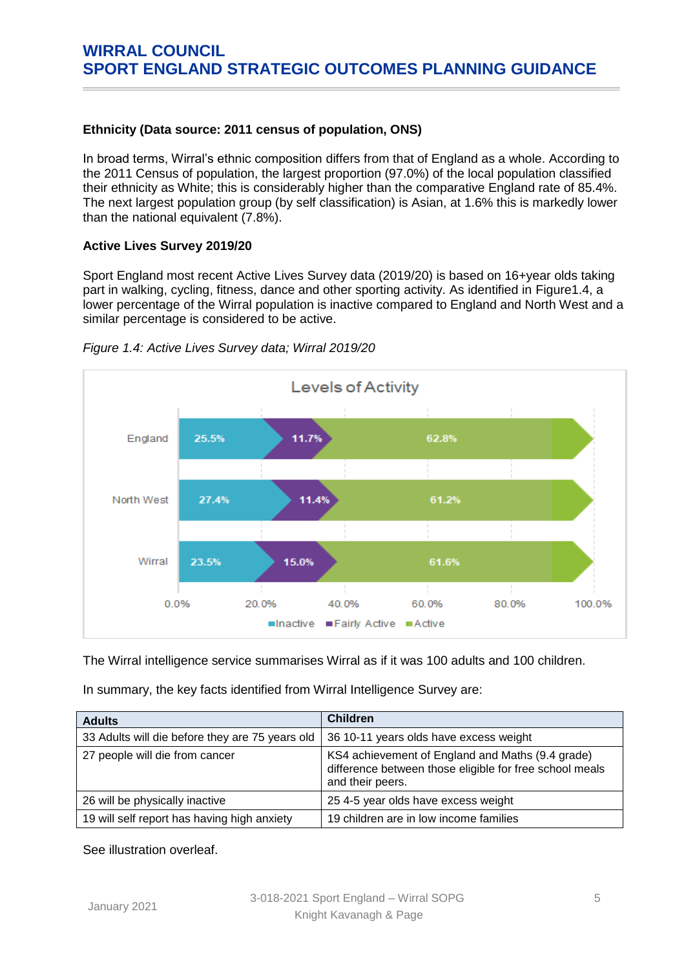## **Ethnicity (Data source: 2011 census of population, ONS)**

In broad terms, Wirral's ethnic composition differs from that of England as a whole. According to the 2011 Census of population, the largest proportion (97.0%) of the local population classified their ethnicity as White; this is considerably higher than the comparative England rate of 85.4%. The next largest population group (by self classification) is Asian, at 1.6% this is markedly lower than the national equivalent (7.8%).

## **Active Lives Survey 2019/20**

Sport England most recent Active Lives Survey data (2019/20) is based on 16+year olds taking part in walking, cycling, fitness, dance and other sporting activity. As identified in Figure1.4, a lower percentage of the Wirral population is inactive compared to England and North West and a similar percentage is considered to be active.





The Wirral intelligence service summarises Wirral as if it was 100 adults and 100 children.

In summary, the key facts identified from Wirral Intelligence Survey are:

| <b>Adults</b>                                   | <b>Children</b>                                                                                                                 |
|-------------------------------------------------|---------------------------------------------------------------------------------------------------------------------------------|
| 33 Adults will die before they are 75 years old | 36 10-11 years olds have excess weight                                                                                          |
| 27 people will die from cancer                  | KS4 achievement of England and Maths (9.4 grade)<br>difference between those eligible for free school meals<br>and their peers. |
| 26 will be physically inactive                  | 25 4-5 year olds have excess weight                                                                                             |
| 19 will self report has having high anxiety     | 19 children are in low income families                                                                                          |

See illustration overleaf.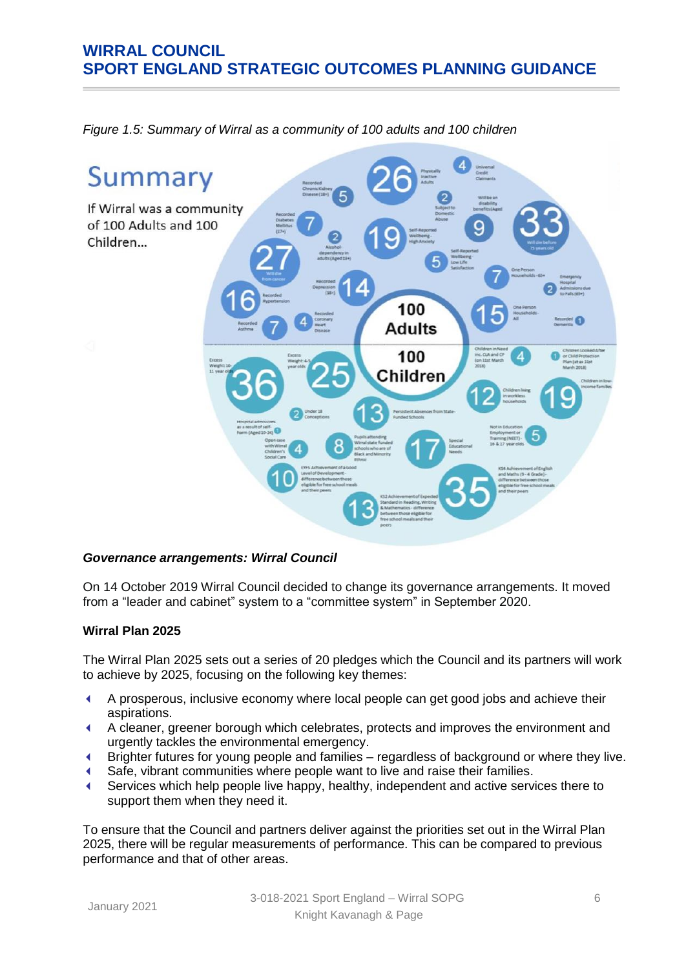## **WIRRAL COUNCIL SPORT ENGLAND STRATEGIC OUTCOMES PLANNING GUIDANCE**

*Figure 1.5: Summary of Wirral as a community of 100 adults and 100 children*



## *Governance arrangements: Wirral Council*

On 14 October 2019 Wirral Council decided to change its governance arrangements. It moved from a "leader and cabinet" system to a "committee system" in September 2020.

#### **Wirral Plan 2025**

The [Wirral Plan 2025](https://democracy.wirral.gov.uk/documents/s50062011/Appendix%201%20Wirral%20Council%20Plan%202025.pdf) sets out a series of 20 pledges which the Council and its partners will work to achieve by 2025, focusing on the following key themes:

- A prosperous, inclusive economy where local people can get good jobs and achieve their aspirations.
- A cleaner, greener borough which celebrates, protects and improves the environment and urgently tackles the environmental emergency.
- Brighter futures for young people and families regardless of background or where they live.
- Safe, vibrant communities where people want to live and raise their families.
- Services which help people live happy, healthy, independent and active services there to support them when they need it.

To ensure that the Council and partners deliver against the priorities set out in the Wirral Plan 2025, there will be regular measurements of performance. This can be compared to previous performance and that of other areas.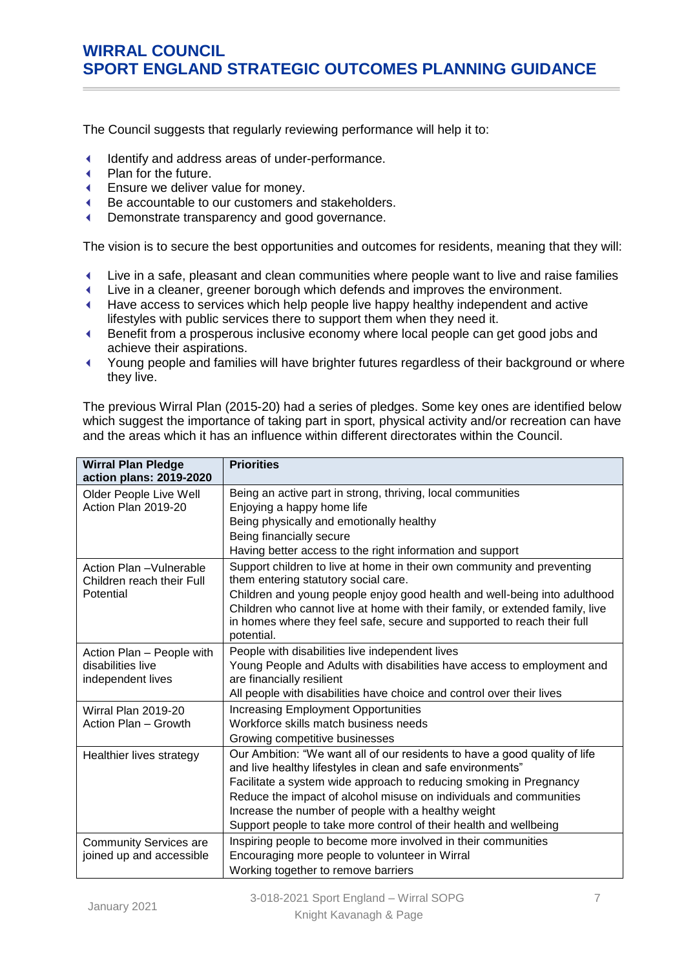The Council suggests that regularly reviewing performance will help it to:

- Identify and address areas of under-performance.
- Plan for the future.
- Ensure we deliver value for money.
- Be accountable to our customers and stakeholders.
- **I** Demonstrate transparency and good governance.

The vision is to secure the best opportunities and outcomes for residents, meaning that they will:

- Live in a safe, pleasant and clean communities where people want to live and raise families
- Live in a cleaner, greener borough which defends and improves the environment.
- Have access to services which help people live happy healthy independent and active lifestyles with public services there to support them when they need it.
- Benefit from a prosperous inclusive economy where local people can get good jobs and achieve their aspirations.
- Young people and families will have brighter futures regardless of their background or where they live.

The previous Wirral Plan (2015-20) had a series of pledges. Some key ones are identified below which suggest the importance of taking part in sport, physical activity and/or recreation can have and the areas which it has an influence within different directorates within the Council.

| <b>Wirral Plan Pledge</b><br>action plans: 2019-2020  | <b>Priorities</b>                                                                                                                         |  |
|-------------------------------------------------------|-------------------------------------------------------------------------------------------------------------------------------------------|--|
| Older People Live Well                                | Being an active part in strong, thriving, local communities                                                                               |  |
| Action Plan 2019-20                                   | Enjoying a happy home life                                                                                                                |  |
|                                                       | Being physically and emotionally healthy                                                                                                  |  |
|                                                       | Being financially secure                                                                                                                  |  |
|                                                       | Having better access to the right information and support                                                                                 |  |
| Action Plan - Vulnerable<br>Children reach their Full | Support children to live at home in their own community and preventing<br>them entering statutory social care.                            |  |
| Potential                                             | Children and young people enjoy good health and well-being into adulthood                                                                 |  |
|                                                       | Children who cannot live at home with their family, or extended family, live                                                              |  |
|                                                       | in homes where they feel safe, secure and supported to reach their full                                                                   |  |
|                                                       | potential.                                                                                                                                |  |
| Action Plan - People with                             | People with disabilities live independent lives                                                                                           |  |
| disabilities live                                     | Young People and Adults with disabilities have access to employment and                                                                   |  |
| independent lives                                     | are financially resilient                                                                                                                 |  |
|                                                       | All people with disabilities have choice and control over their lives                                                                     |  |
| Wirral Plan 2019-20                                   | <b>Increasing Employment Opportunities</b>                                                                                                |  |
| Action Plan - Growth                                  | Workforce skills match business needs                                                                                                     |  |
|                                                       | Growing competitive businesses                                                                                                            |  |
| Healthier lives strategy                              | Our Ambition: "We want all of our residents to have a good quality of life<br>and live healthy lifestyles in clean and safe environments" |  |
|                                                       | Facilitate a system wide approach to reducing smoking in Pregnancy                                                                        |  |
|                                                       | Reduce the impact of alcohol misuse on individuals and communities                                                                        |  |
|                                                       | Increase the number of people with a healthy weight                                                                                       |  |
|                                                       | Support people to take more control of their health and wellbeing                                                                         |  |
| <b>Community Services are</b>                         | Inspiring people to become more involved in their communities                                                                             |  |
| joined up and accessible                              | Encouraging more people to volunteer in Wirral                                                                                            |  |
|                                                       | Working together to remove barriers                                                                                                       |  |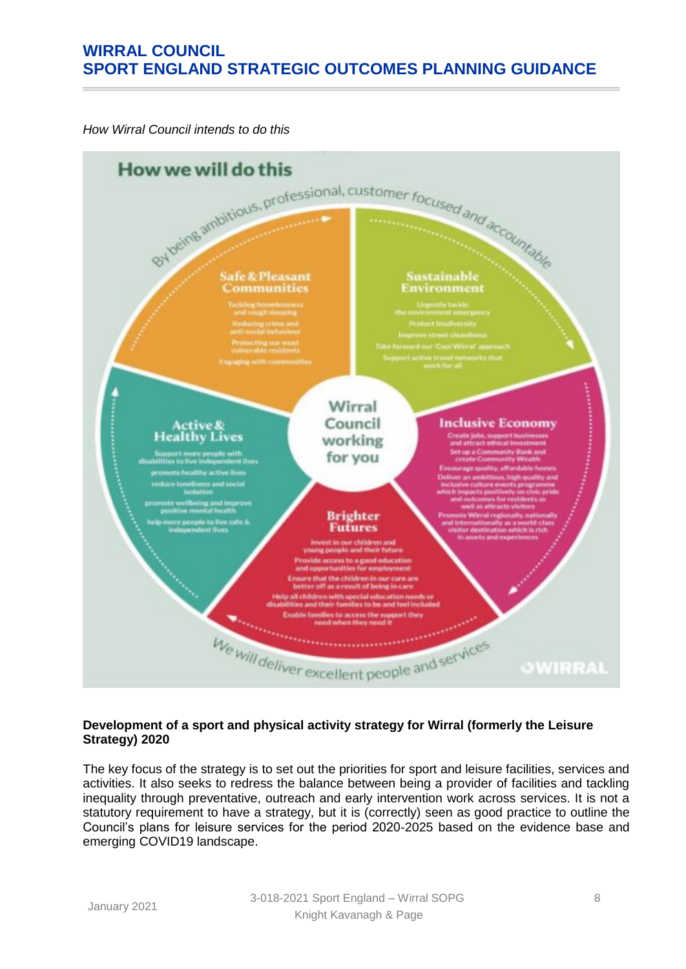## **WIRRAL COUNCIL SPORT ENGLAND STRATEGIC OUTCOMES PLANNING GUIDANCE**

*How Wirral Council intends to do this*



## **Development of a sport and physical activity strategy for Wirral (formerly the Leisure Strategy) 2020**

The key focus of the strategy is to set out the priorities for sport and leisure facilities, services and activities. It also seeks to redress the balance between being a provider of facilities and tackling inequality through preventative, outreach and early intervention work across services. It is not a statutory requirement to have a strategy, but it is (correctly) seen as good practice to outline the Council's plans for leisure services for the period 2020-2025 based on the evidence base and emerging COVID19 landscape.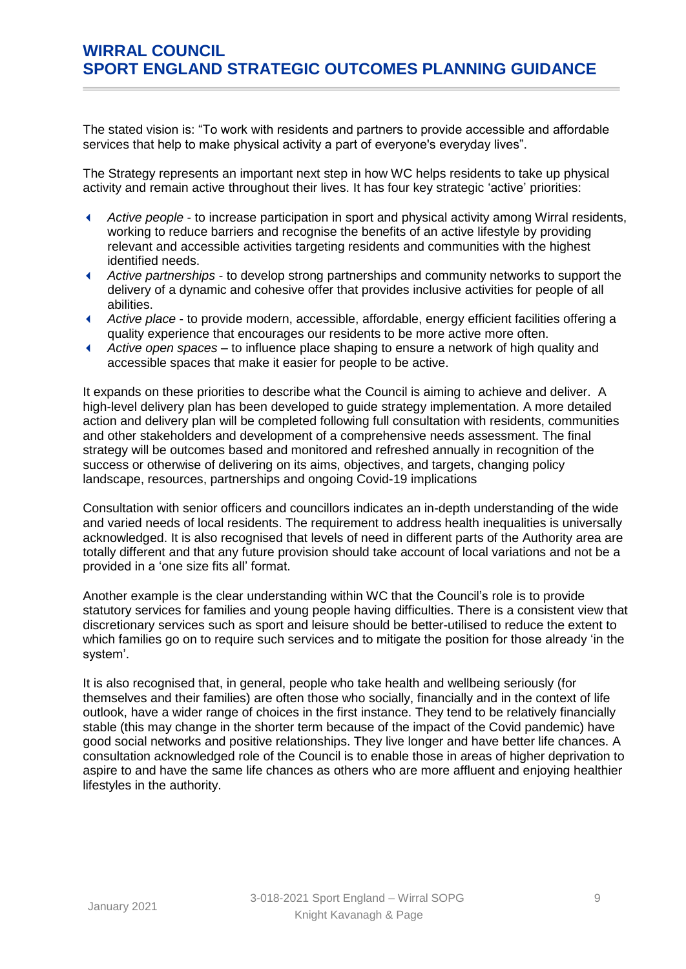The stated vision is: "To work with residents and partners to provide accessible and affordable services that help to make physical activity a part of everyone's everyday lives".

The Strategy represents an important next step in how WC helps residents to take up physical activity and remain active throughout their lives. It has four key strategic 'active' priorities:

- *Active people* to increase participation in sport and physical activity among Wirral residents, working to reduce barriers and recognise the benefits of an active lifestyle by providing relevant and accessible activities targeting residents and communities with the highest identified needs.
- *Active partnerships* to develop strong partnerships and community networks to support the delivery of a dynamic and cohesive offer that provides inclusive activities for people of all abilities.
- *Active place* to provide modern, accessible, affordable, energy efficient facilities offering a quality experience that encourages our residents to be more active more often.
- *Active open spaces* to influence place shaping to ensure a network of high quality and accessible spaces that make it easier for people to be active.

It expands on these priorities to describe what the Council is aiming to achieve and deliver. A high-level delivery plan has been developed to guide strategy implementation. A more detailed action and delivery plan will be completed following full consultation with residents, communities and other stakeholders and development of a comprehensive needs assessment. The final strategy will be outcomes based and monitored and refreshed annually in recognition of the success or otherwise of delivering on its aims, objectives, and targets, changing policy landscape, resources, partnerships and ongoing Covid-19 implications

Consultation with senior officers and councillors indicates an in-depth understanding of the wide and varied needs of local residents. The requirement to address health inequalities is universally acknowledged. It is also recognised that levels of need in different parts of the Authority area are totally different and that any future provision should take account of local variations and not be a provided in a 'one size fits all' format.

Another example is the clear understanding within WC that the Council's role is to provide statutory services for families and young people having difficulties. There is a consistent view that discretionary services such as sport and leisure should be better-utilised to reduce the extent to which families go on to require such services and to mitigate the position for those already 'in the system'.

It is also recognised that, in general, people who take health and wellbeing seriously (for themselves and their families) are often those who socially, financially and in the context of life outlook, have a wider range of choices in the first instance. They tend to be relatively financially stable (this may change in the shorter term because of the impact of the Covid pandemic) have good social networks and positive relationships. They live longer and have better life chances. A consultation acknowledged role of the Council is to enable those in areas of higher deprivation to aspire to and have the same life chances as others who are more affluent and enjoying healthier lifestyles in the authority.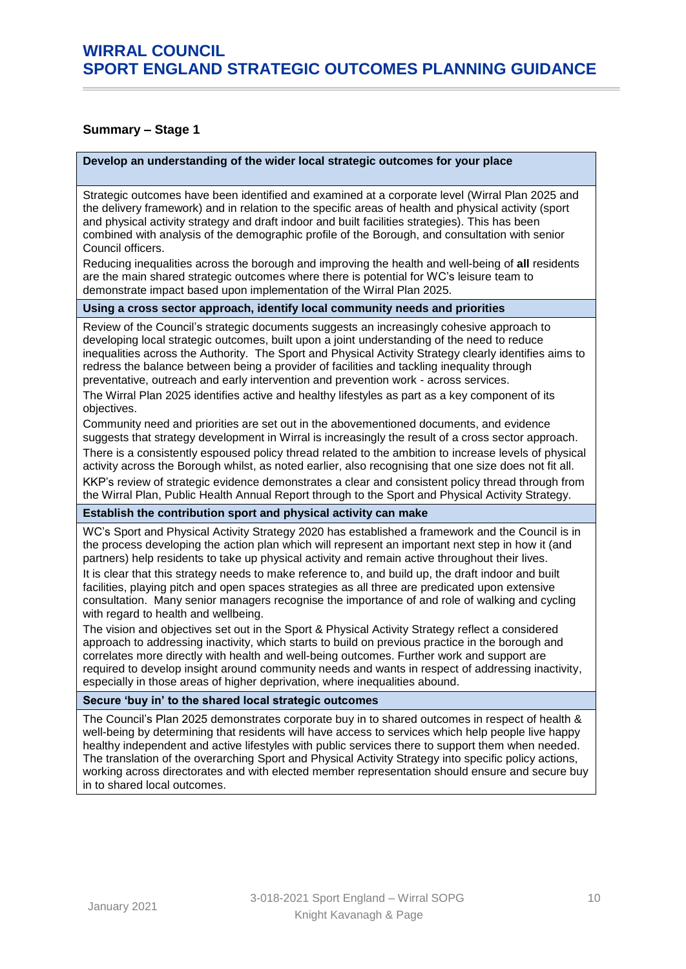## **Summary – Stage 1**

#### **Develop an understanding of the wider local strategic outcomes for your place**

Strategic outcomes have been identified and examined at a corporate level (Wirral Plan 2025 and the delivery framework) and in relation to the specific areas of health and physical activity (sport and physical activity strategy and draft indoor and built facilities strategies). This has been combined with analysis of the demographic profile of the Borough, and consultation with senior Council officers.

Reducing inequalities across the borough and improving the health and well-being of **all** residents are the main shared strategic outcomes where there is potential for WC's leisure team to demonstrate impact based upon implementation of the Wirral Plan 2025.

#### **Using a cross sector approach, identify local community needs and priorities**

Review of the Council's strategic documents suggests an increasingly cohesive approach to developing local strategic outcomes, built upon a joint understanding of the need to reduce inequalities across the Authority. The Sport and Physical Activity Strategy clearly identifies aims to redress the balance between being a provider of facilities and tackling inequality through preventative, outreach and early intervention and prevention work - across services.

The Wirral Plan 2025 identifies active and healthy lifestyles as part as a key component of its objectives.

Community need and priorities are set out in the abovementioned documents, and evidence suggests that strategy development in Wirral is increasingly the result of a cross sector approach. There is a consistently espoused policy thread related to the ambition to increase levels of physical activity across the Borough whilst, as noted earlier, also recognising that one size does not fit all. KKP's review of strategic evidence demonstrates a clear and consistent policy thread through from the Wirral Plan, Public Health Annual Report through to the Sport and Physical Activity Strategy.

#### **Establish the contribution sport and physical activity can make**

WC's Sport and Physical Activity Strategy 2020 has established a framework and the Council is in the process developing the action plan which will represent an important next step in how it (and partners) help residents to take up physical activity and remain active throughout their lives. It is clear that this strategy needs to make reference to, and build up, the draft indoor and built facilities, playing pitch and open spaces strategies as all three are predicated upon extensive consultation. Many senior managers recognise the importance of and role of walking and cycling with regard to health and wellbeing.

The vision and objectives set out in the Sport & Physical Activity Strategy reflect a considered approach to addressing inactivity, which starts to build on previous practice in the borough and correlates more directly with health and well-being outcomes. Further work and support are required to develop insight around community needs and wants in respect of addressing inactivity, especially in those areas of higher deprivation, where inequalities abound.

#### **Secure 'buy in' to the shared local strategic outcomes**

The Council's Plan 2025 demonstrates corporate buy in to shared outcomes in respect of health & well-being by determining that residents will have access to services which help people live happy healthy independent and active lifestyles with public services there to support them when needed. The translation of the overarching Sport and Physical Activity Strategy into specific policy actions, working across directorates and with elected member representation should ensure and secure buy in to shared local outcomes.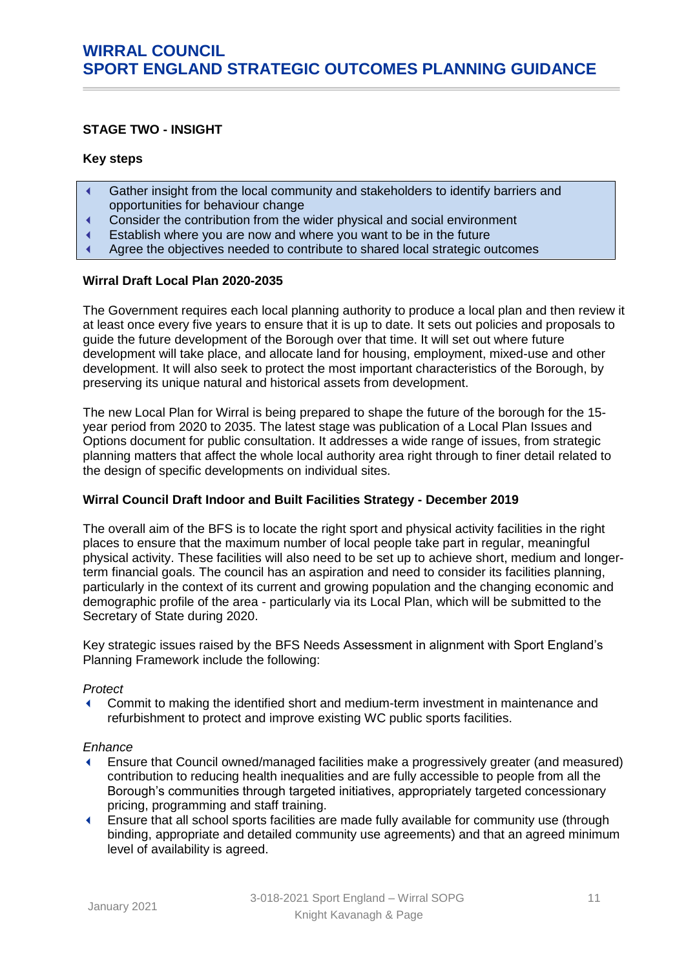## <span id="page-15-0"></span>**STAGE TWO - INSIGHT**

#### **Key steps**

- Gather insight from the local community and stakeholders to identify barriers and opportunities for behaviour change
- Consider the contribution from the wider physical and social environment
- Establish where you are now and where you want to be in the future
- Agree the objectives needed to contribute to shared local strategic outcomes

#### **Wirral Draft Local Plan 2020-2035**

The Government requires each local planning authority to produce a local plan and then review it at least once every five years to ensure that it is up to date. It sets out policies and proposals to guide the future development of the Borough over that time. It will set out where future development will take place, and allocate land for housing, employment, mixed-use and other development. It will also seek to protect the most important characteristics of the Borough, by preserving its unique natural and historical assets from development.

The new Local Plan for Wirral is being prepared to shape the future of the borough for the 15 year period from 2020 to 2035. The latest stage was publication of a Local Plan Issues and Options document for public consultation. It addresses a wide range of issues, from strategic planning matters that affect the whole local authority area right through to finer detail related to the design of specific developments on individual sites.

#### **Wirral Council Draft Indoor and Built Facilities Strategy - December 2019**

The overall aim of the BFS is to locate the right sport and physical activity facilities in the right places to ensure that the maximum number of local people take part in regular, meaningful physical activity. These facilities will also need to be set up to achieve short, medium and longerterm financial goals. The council has an aspiration and need to consider its facilities planning, particularly in the context of its current and growing population and the changing economic and demographic profile of the area - particularly via its Local Plan, which will be submitted to the Secretary of State during 2020.

Key strategic issues raised by the BFS Needs Assessment in alignment with Sport England's Planning Framework include the following:

#### *Protect*

 Commit to making the identified short and medium-term investment in maintenance and refurbishment to protect and improve existing WC public sports facilities.

#### *Enhance*

- Ensure that Council owned/managed facilities make a progressively greater (and measured) contribution to reducing health inequalities and are fully accessible to people from all the Borough's communities through targeted initiatives, appropriately targeted concessionary pricing, programming and staff training.
- Ensure that all school sports facilities are made fully available for community use (through binding, appropriate and detailed community use agreements) and that an agreed minimum level of availability is agreed.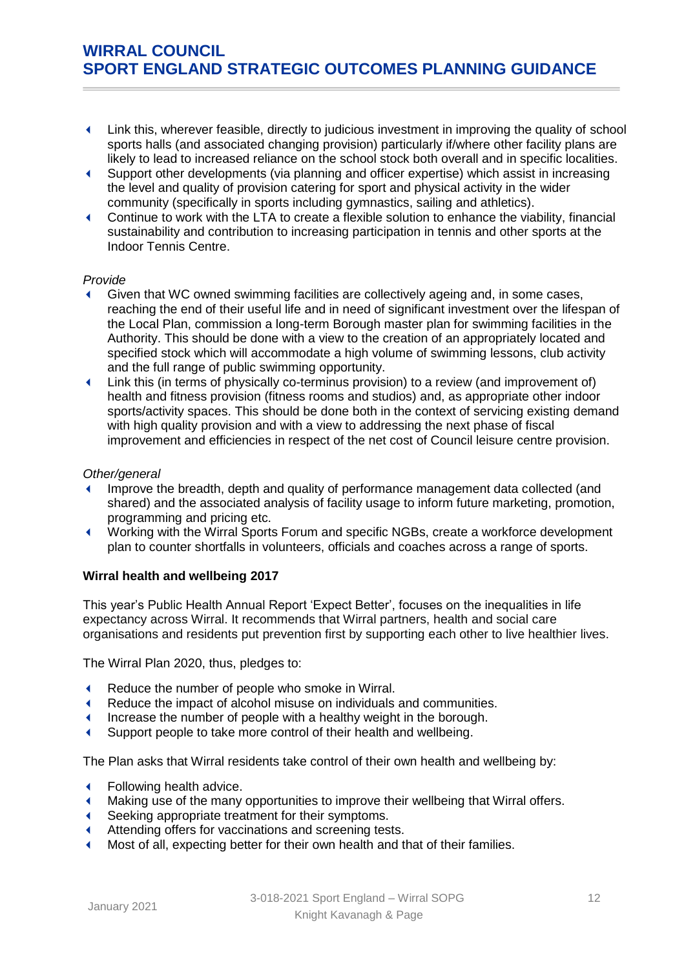- Link this, wherever feasible, directly to judicious investment in improving the quality of school sports halls (and associated changing provision) particularly if/where other facility plans are likely to lead to increased reliance on the school stock both overall and in specific localities.
- Support other developments (via planning and officer expertise) which assist in increasing the level and quality of provision catering for sport and physical activity in the wider community (specifically in sports including gymnastics, sailing and athletics).
- Continue to work with the LTA to create a flexible solution to enhance the viability, financial sustainability and contribution to increasing participation in tennis and other sports at the Indoor Tennis Centre.

#### *Provide*

- Given that WC owned swimming facilities are collectively ageing and, in some cases, reaching the end of their useful life and in need of significant investment over the lifespan of the Local Plan, commission a long-term Borough master plan for swimming facilities in the Authority. This should be done with a view to the creation of an appropriately located and specified stock which will accommodate a high volume of swimming lessons, club activity and the full range of public swimming opportunity.
- Link this (in terms of physically co-terminus provision) to a review (and improvement of) health and fitness provision (fitness rooms and studios) and, as appropriate other indoor sports/activity spaces. This should be done both in the context of servicing existing demand with high quality provision and with a view to addressing the next phase of fiscal improvement and efficiencies in respect of the net cost of Council leisure centre provision.

#### *Other/general*

- Improve the breadth, depth and quality of performance management data collected (and shared) and the associated analysis of facility usage to inform future marketing, promotion, programming and pricing etc.
- Working with the Wirral Sports Forum and specific NGBs, create a workforce development plan to counter shortfalls in volunteers, officials and coaches across a range of sports.

## **Wirral health and wellbeing 2017**

This year's Public Health Annual Report 'Expect Better', focuses on the inequalities in life expectancy across Wirral. It recommends that Wirral partners, health and social care organisations and residents put prevention first by supporting each other to live healthier lives.

The Wirral Plan 2020, thus, pledges to:

- Reduce the number of people who smoke in Wirral.
- Reduce the impact of alcohol misuse on individuals and communities.
- Increase the number of people with a healthy weight in the borough.
- Support people to take more control of their health and wellbeing.

The Plan asks that Wirral residents take control of their own health and wellbeing by:

- Following health advice.
- Making use of the many opportunities to improve their wellbeing that Wirral offers.
- Seeking appropriate treatment for their symptoms.
- Attending offers for vaccinations and screening tests.
- Most of all, expecting better for their own health and that of their families.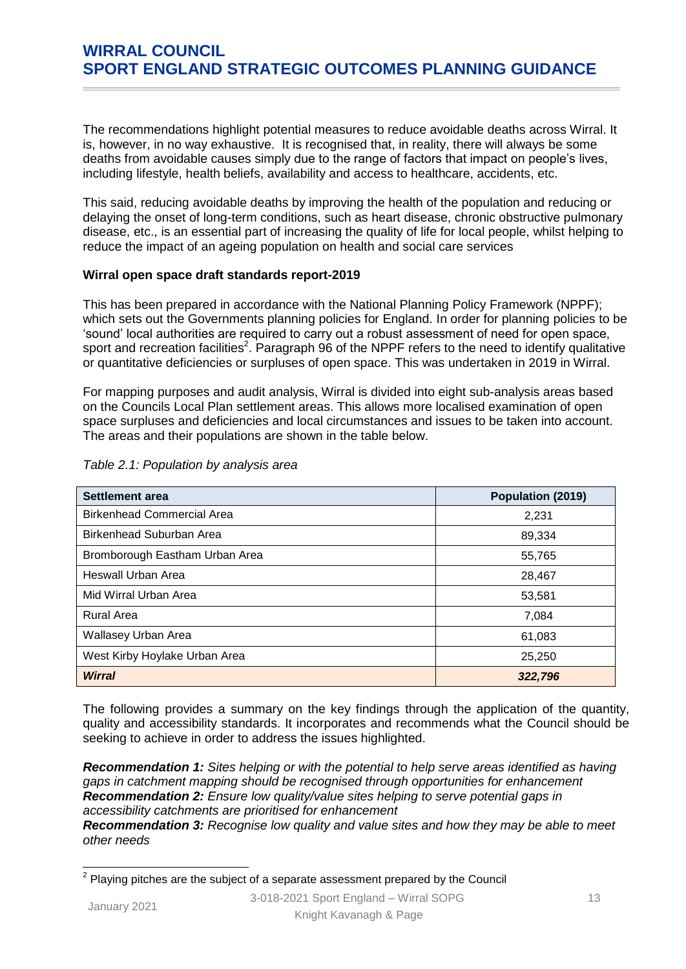The recommendations highlight potential measures to reduce avoidable deaths across Wirral. It is, however, in no way exhaustive. It is recognised that, in reality, there will always be some deaths from avoidable causes simply due to the range of factors that impact on people's lives. including lifestyle, health beliefs, availability and access to healthcare, accidents, etc.

This said, reducing avoidable deaths by improving the health of the population and reducing or delaying the onset of long-term conditions, such as heart disease, chronic obstructive pulmonary disease, etc., is an essential part of increasing the quality of life for local people, whilst helping to reduce the impact of an ageing population on health and social care services

## **Wirral open space draft standards report-2019**

This has been prepared in accordance with the National Planning Policy Framework (NPPF); which sets out the Governments planning policies for England. In order for planning policies to be 'sound' local authorities are required to carry out a robust assessment of need for open space, sport and recreation facilities<sup>2</sup>. Paragraph 96 of the NPPF refers to the need to identify qualitative or quantitative deficiencies or surpluses of open space. This was undertaken in 2019 in Wirral.

For mapping purposes and audit analysis, Wirral is divided into eight sub-analysis areas based on the Councils Local Plan settlement areas. This allows more localised examination of open space surpluses and deficiencies and local circumstances and issues to be taken into account. The areas and their populations are shown in the table below.

| Settlement area                   | Population (2019) |
|-----------------------------------|-------------------|
| <b>Birkenhead Commercial Area</b> | 2,231             |
| Birkenhead Suburban Area          | 89,334            |
| Bromborough Eastham Urban Area    | 55,765            |
| Heswall Urban Area                | 28,467            |
| Mid Wirral Urban Area             | 53,581            |
| Rural Area                        | 7,084             |
| Wallasey Urban Area               | 61,083            |
| West Kirby Hoylake Urban Area     | 25,250            |
| <b>Wirral</b>                     | 322,796           |

#### *Table 2.1: Population by analysis area*

The following provides a summary on the key findings through the application of the quantity, quality and accessibility standards. It incorporates and recommends what the Council should be seeking to achieve in order to address the issues highlighted.

*Recommendation 1: Sites helping or with the potential to help serve areas identified as having gaps in catchment mapping should be recognised through opportunities for enhancement Recommendation 2: Ensure low quality/value sites helping to serve potential gaps in accessibility catchments are prioritised for enhancement* 

*Recommendation 3: Recognise low quality and value sites and how they may be able to meet other needs*

 2 Playing pitches are the subject of a separate assessment prepared by the Council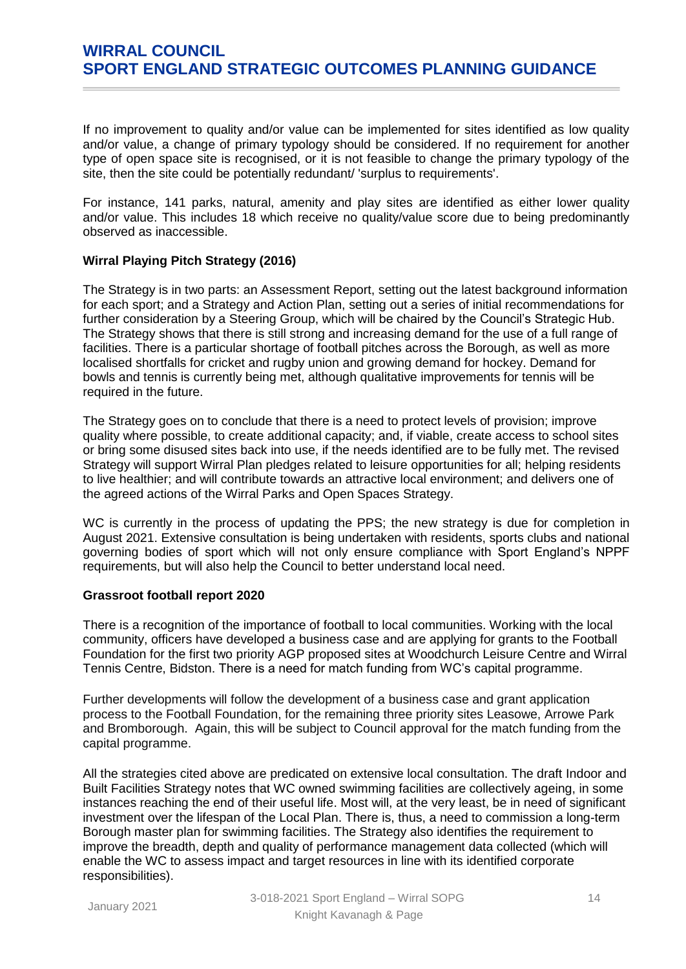If no improvement to quality and/or value can be implemented for sites identified as low quality and/or value, a change of primary typology should be considered. If no requirement for another type of open space site is recognised, or it is not feasible to change the primary typology of the site, then the site could be potentially redundant/ 'surplus to requirements'.

For instance, 141 parks, natural, amenity and play sites are identified as either lower quality and/or value. This includes 18 which receive no quality/value score due to being predominantly observed as inaccessible.

## **Wirral Playing Pitch Strategy (2016)**

The Strategy is in two parts: an Assessment Report, setting out the latest background information for each sport; and a Strategy and Action Plan, setting out a series of initial recommendations for further consideration by a Steering Group, which will be chaired by the Council's Strategic Hub. The Strategy shows that there is still strong and increasing demand for the use of a full range of facilities. There is a particular shortage of football pitches across the Borough, as well as more localised shortfalls for cricket and rugby union and growing demand for hockey. Demand for bowls and tennis is currently being met, although qualitative improvements for tennis will be required in the future.

The Strategy goes on to conclude that there is a need to protect levels of provision; improve quality where possible, to create additional capacity; and, if viable, create access to school sites or bring some disused sites back into use, if the needs identified are to be fully met. The revised Strategy will support Wirral Plan pledges related to leisure opportunities for all; helping residents to live healthier; and will contribute towards an attractive local environment; and delivers one of the agreed actions of the Wirral Parks and Open Spaces Strategy.

WC is currently in the process of updating the PPS; the new strategy is due for completion in August 2021. Extensive consultation is being undertaken with residents, sports clubs and national governing bodies of sport which will not only ensure compliance with Sport England's NPPF requirements, but will also help the Council to better understand local need.

## **Grassroot football report 2020**

There is a recognition of the importance of football to local communities. Working with the local community, officers have developed a business case and are applying for grants to the Football Foundation for the first two priority AGP proposed sites at Woodchurch Leisure Centre and Wirral Tennis Centre, Bidston. There is a need for match funding from WC's capital programme.

Further developments will follow the development of a business case and grant application process to the Football Foundation, for the remaining three priority sites Leasowe, Arrowe Park and Bromborough. Again, this will be subject to Council approval for the match funding from the capital programme.

All the strategies cited above are predicated on extensive local consultation. The draft Indoor and Built Facilities Strategy notes that WC owned swimming facilities are collectively ageing, in some instances reaching the end of their useful life. Most will, at the very least, be in need of significant investment over the lifespan of the Local Plan. There is, thus, a need to commission a long-term Borough master plan for swimming facilities. The Strategy also identifies the requirement to improve the breadth, depth and quality of performance management data collected (which will enable the WC to assess impact and target resources in line with its identified corporate responsibilities).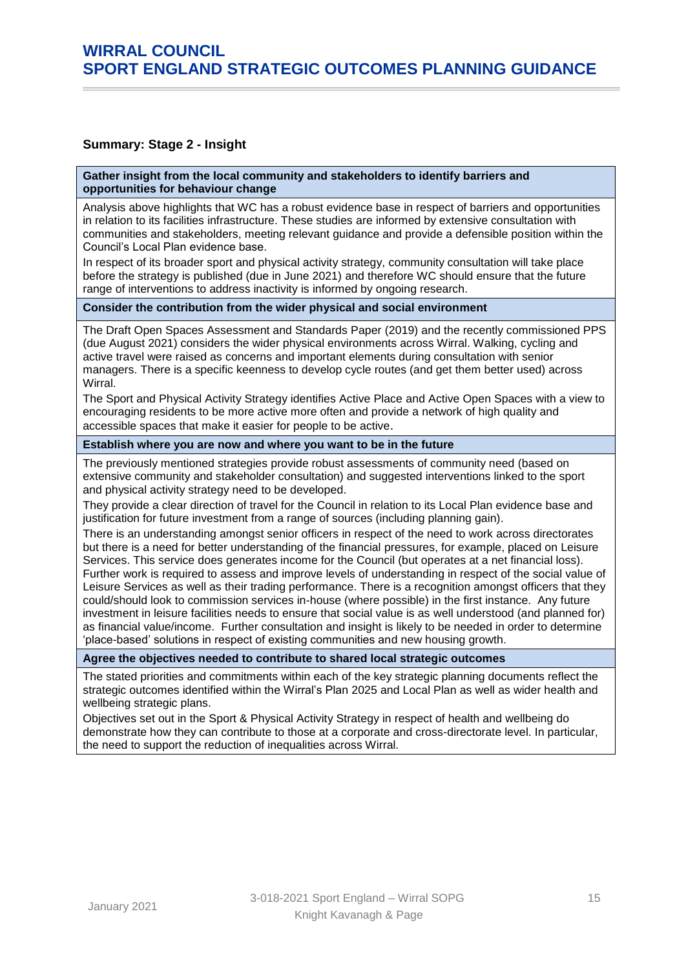## **Summary: Stage 2 - Insight**

**Gather insight from the local community and stakeholders to identify barriers and opportunities for behaviour change**

Analysis above highlights that WC has a robust evidence base in respect of barriers and opportunities in relation to its facilities infrastructure. These studies are informed by extensive consultation with communities and stakeholders, meeting relevant guidance and provide a defensible position within the Council's Local Plan evidence base.

In respect of its broader sport and physical activity strategy, community consultation will take place before the strategy is published (due in June 2021) and therefore WC should ensure that the future range of interventions to address inactivity is informed by ongoing research.

**Consider the contribution from the wider physical and social environment**

The Draft Open Spaces Assessment and Standards Paper (2019) and the recently commissioned PPS (due August 2021) considers the wider physical environments across Wirral. Walking, cycling and active travel were raised as concerns and important elements during consultation with senior managers. There is a specific keenness to develop cycle routes (and get them better used) across Wirral.

The Sport and Physical Activity Strategy identifies Active Place and Active Open Spaces with a view to encouraging residents to be more active more often and provide a network of high quality and accessible spaces that make it easier for people to be active.

#### **Establish where you are now and where you want to be in the future**

The previously mentioned strategies provide robust assessments of community need (based on extensive community and stakeholder consultation) and suggested interventions linked to the sport and physical activity strategy need to be developed.

They provide a clear direction of travel for the Council in relation to its Local Plan evidence base and justification for future investment from a range of sources (including planning gain).

There is an understanding amongst senior officers in respect of the need to work across directorates but there is a need for better understanding of the financial pressures, for example, placed on Leisure Services. This service does generates income for the Council (but operates at a net financial loss). Further work is required to assess and improve levels of understanding in respect of the social value of Leisure Services as well as their trading performance. There is a recognition amongst officers that they could/should look to commission services in-house (where possible) in the first instance. Any future investment in leisure facilities needs to ensure that social value is as well understood (and planned for) as financial value/income. Further consultation and insight is likely to be needed in order to determine 'place-based' solutions in respect of existing communities and new housing growth.

#### **Agree the objectives needed to contribute to shared local strategic outcomes**

The stated priorities and commitments within each of the key strategic planning documents reflect the strategic outcomes identified within the Wirral's Plan 2025 and Local Plan as well as wider health and wellbeing strategic plans.

Objectives set out in the Sport & Physical Activity Strategy in respect of health and wellbeing do demonstrate how they can contribute to those at a corporate and cross-directorate level. In particular, the need to support the reduction of inequalities across Wirral.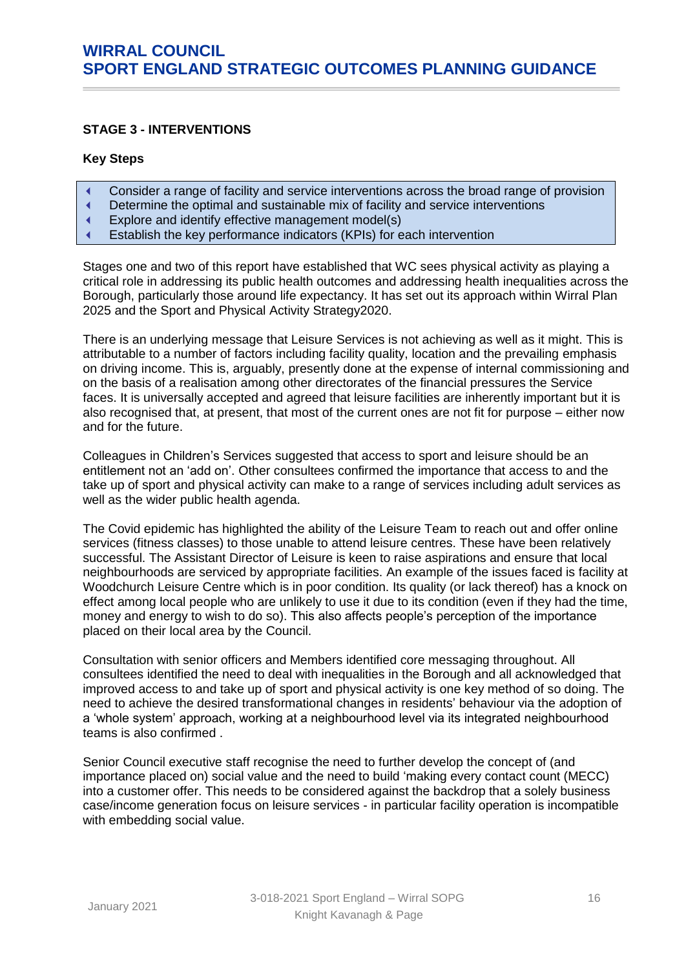## <span id="page-20-0"></span>**STAGE 3 - INTERVENTIONS**

#### **Key Steps**

- Consider a range of facility and service interventions across the broad range of provision
- Determine the optimal and sustainable mix of facility and service interventions
- Explore and identify effective management model(s)
- Establish the key performance indicators (KPIs) for each intervention

Stages one and two of this report have established that WC sees physical activity as playing a critical role in addressing its public health outcomes and addressing health inequalities across the Borough, particularly those around life expectancy. It has set out its approach within Wirral Plan 2025 and the Sport and Physical Activity Strategy2020.

There is an underlying message that Leisure Services is not achieving as well as it might. This is attributable to a number of factors including facility quality, location and the prevailing emphasis on driving income. This is, arguably, presently done at the expense of internal commissioning and on the basis of a realisation among other directorates of the financial pressures the Service faces. It is universally accepted and agreed that leisure facilities are inherently important but it is also recognised that, at present, that most of the current ones are not fit for purpose – either now and for the future.

Colleagues in Children's Services suggested that access to sport and leisure should be an entitlement not an 'add on'. Other consultees confirmed the importance that access to and the take up of sport and physical activity can make to a range of services including adult services as well as the wider public health agenda.

The Covid epidemic has highlighted the ability of the Leisure Team to reach out and offer online services (fitness classes) to those unable to attend leisure centres. These have been relatively successful. The Assistant Director of Leisure is keen to raise aspirations and ensure that local neighbourhoods are serviced by appropriate facilities. An example of the issues faced is facility at Woodchurch Leisure Centre which is in poor condition. Its quality (or lack thereof) has a knock on effect among local people who are unlikely to use it due to its condition (even if they had the time, money and energy to wish to do so). This also affects people's perception of the importance placed on their local area by the Council.

Consultation with senior officers and Members identified core messaging throughout. All consultees identified the need to deal with inequalities in the Borough and all acknowledged that improved access to and take up of sport and physical activity is one key method of so doing. The need to achieve the desired transformational changes in residents' behaviour via the adoption of a 'whole system' approach, working at a neighbourhood level via its integrated neighbourhood teams is also confirmed .

Senior Council executive staff recognise the need to further develop the concept of (and importance placed on) social value and the need to build 'making every contact count (MECC) into a customer offer. This needs to be considered against the backdrop that a solely business case/income generation focus on leisure services - in particular facility operation is incompatible with embedding social value.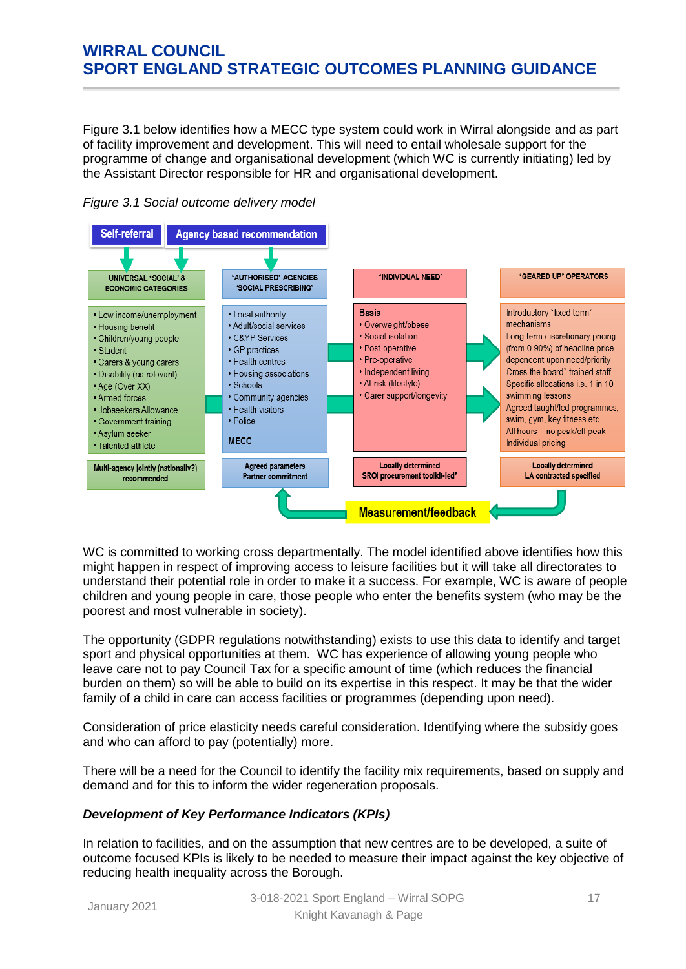Figure 3.1 below identifies how a MECC type system could work in Wirral alongside and as part of facility improvement and development. This will need to entail wholesale support for the programme of change and organisational development (which WC is currently initiating) led by the Assistant Director responsible for HR and organisational development.





WC is committed to working cross departmentally. The model identified above identifies how this might happen in respect of improving access to leisure facilities but it will take all directorates to understand their potential role in order to make it a success. For example, WC is aware of people children and young people in care, those people who enter the benefits system (who may be the poorest and most vulnerable in society).

The opportunity (GDPR regulations notwithstanding) exists to use this data to identify and target sport and physical opportunities at them. WC has experience of allowing young people who leave care not to pay Council Tax for a specific amount of time (which reduces the financial burden on them) so will be able to build on its expertise in this respect. It may be that the wider family of a child in care can access facilities or programmes (depending upon need).

Consideration of price elasticity needs careful consideration. Identifying where the subsidy goes and who can afford to pay (potentially) more.

There will be a need for the Council to identify the facility mix requirements, based on supply and demand and for this to inform the wider regeneration proposals.

## *Development of Key Performance Indicators (KPIs)*

In relation to facilities, and on the assumption that new centres are to be developed, a suite of outcome focused KPIs is likely to be needed to measure their impact against the key objective of reducing health inequality across the Borough.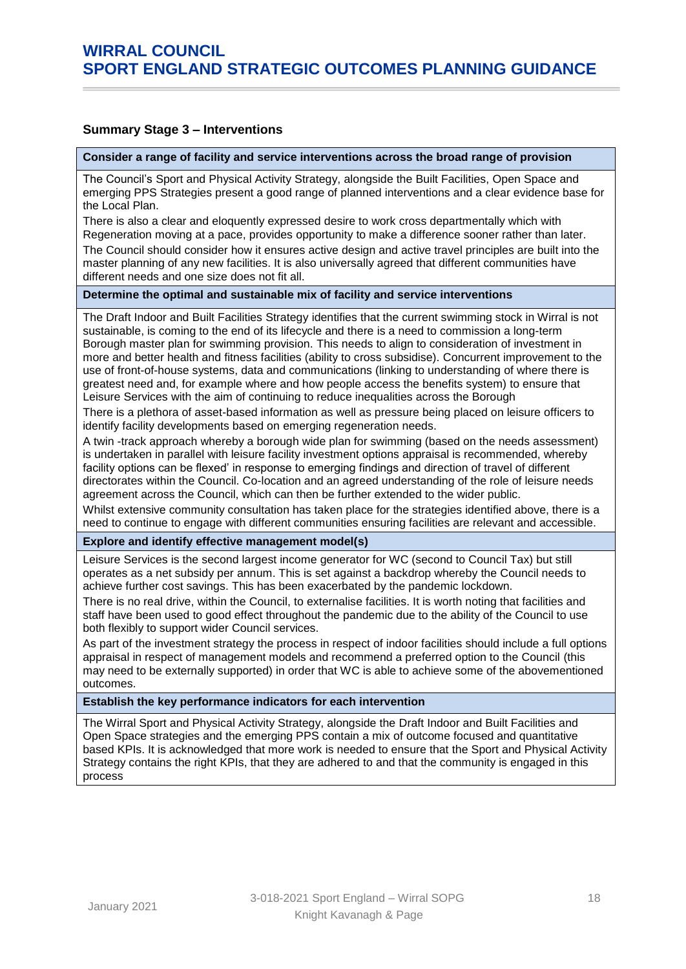#### **Summary Stage 3 – Interventions**

#### **Consider a range of facility and service interventions across the broad range of provision**

The Council's Sport and Physical Activity Strategy, alongside the Built Facilities, Open Space and emerging PPS Strategies present a good range of planned interventions and a clear evidence base for the Local Plan.

There is also a clear and eloquently expressed desire to work cross departmentally which with Regeneration moving at a pace, provides opportunity to make a difference sooner rather than later. The Council should consider how it ensures active design and active travel principles are built into the master planning of any new facilities. It is also universally agreed that different communities have different needs and one size does not fit all.

#### **Determine the optimal and sustainable mix of facility and service interventions**

The Draft Indoor and Built Facilities Strategy identifies that the current swimming stock in Wirral is not sustainable, is coming to the end of its lifecycle and there is a need to commission a long-term Borough master plan for swimming provision. This needs to align to consideration of investment in more and better health and fitness facilities (ability to cross subsidise). Concurrent improvement to the use of front-of-house systems, data and communications (linking to understanding of where there is greatest need and, for example where and how people access the benefits system) to ensure that Leisure Services with the aim of continuing to reduce inequalities across the Borough

There is a plethora of asset-based information as well as pressure being placed on leisure officers to identify facility developments based on emerging regeneration needs.

A twin -track approach whereby a borough wide plan for swimming (based on the needs assessment) is undertaken in parallel with leisure facility investment options appraisal is recommended, whereby facility options can be flexed' in response to emerging findings and direction of travel of different directorates within the Council. Co-location and an agreed understanding of the role of leisure needs agreement across the Council, which can then be further extended to the wider public.

Whilst extensive community consultation has taken place for the strategies identified above, there is a need to continue to engage with different communities ensuring facilities are relevant and accessible.

#### **Explore and identify effective management model(s)**

Leisure Services is the second largest income generator for WC (second to Council Tax) but still operates as a net subsidy per annum. This is set against a backdrop whereby the Council needs to achieve further cost savings. This has been exacerbated by the pandemic lockdown.

There is no real drive, within the Council, to externalise facilities. It is worth noting that facilities and staff have been used to good effect throughout the pandemic due to the ability of the Council to use both flexibly to support wider Council services.

As part of the investment strategy the process in respect of indoor facilities should include a full options appraisal in respect of management models and recommend a preferred option to the Council (this may need to be externally supported) in order that WC is able to achieve some of the abovementioned outcomes.

#### **Establish the key performance indicators for each intervention**

The Wirral Sport and Physical Activity Strategy, alongside the Draft Indoor and Built Facilities and Open Space strategies and the emerging PPS contain a mix of outcome focused and quantitative based KPIs. It is acknowledged that more work is needed to ensure that the Sport and Physical Activity Strategy contains the right KPIs, that they are adhered to and that the community is engaged in this process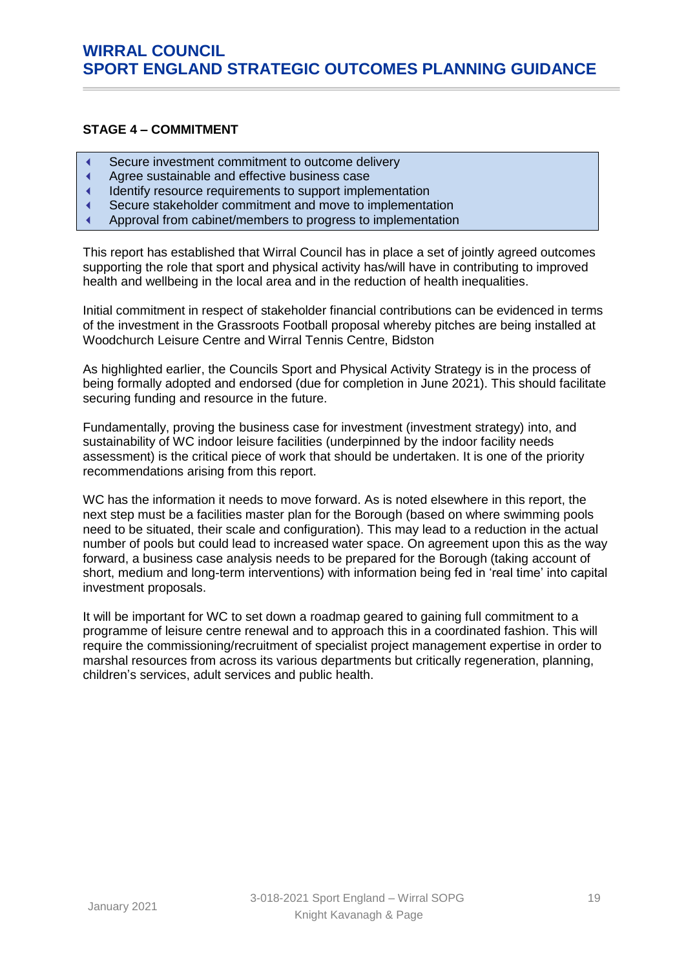#### <span id="page-23-0"></span>**STAGE 4 – COMMITMENT**

- Secure investment commitment to outcome delivery
- Agree sustainable and effective business case
- Identify resource requirements to support implementation
- Secure stakeholder commitment and move to implementation
- Approval from cabinet/members to progress to implementation

This report has established that Wirral Council has in place a set of jointly agreed outcomes supporting the role that sport and physical activity has/will have in contributing to improved health and wellbeing in the local area and in the reduction of health inequalities.

Initial commitment in respect of stakeholder financial contributions can be evidenced in terms of the investment in the Grassroots Football proposal whereby pitches are being installed at Woodchurch Leisure Centre and Wirral Tennis Centre, Bidston

As highlighted earlier, the Councils Sport and Physical Activity Strategy is in the process of being formally adopted and endorsed (due for completion in June 2021). This should facilitate securing funding and resource in the future.

Fundamentally, proving the business case for investment (investment strategy) into, and sustainability of WC indoor leisure facilities (underpinned by the indoor facility needs assessment) is the critical piece of work that should be undertaken. It is one of the priority recommendations arising from this report.

WC has the information it needs to move forward. As is noted elsewhere in this report, the next step must be a facilities master plan for the Borough (based on where swimming pools need to be situated, their scale and configuration). This may lead to a reduction in the actual number of pools but could lead to increased water space. On agreement upon this as the way forward, a business case analysis needs to be prepared for the Borough (taking account of short, medium and long-term interventions) with information being fed in 'real time' into capital investment proposals.

It will be important for WC to set down a roadmap geared to gaining full commitment to a programme of leisure centre renewal and to approach this in a coordinated fashion. This will require the commissioning/recruitment of specialist project management expertise in order to marshal resources from across its various departments but critically regeneration, planning, children's services, adult services and public health.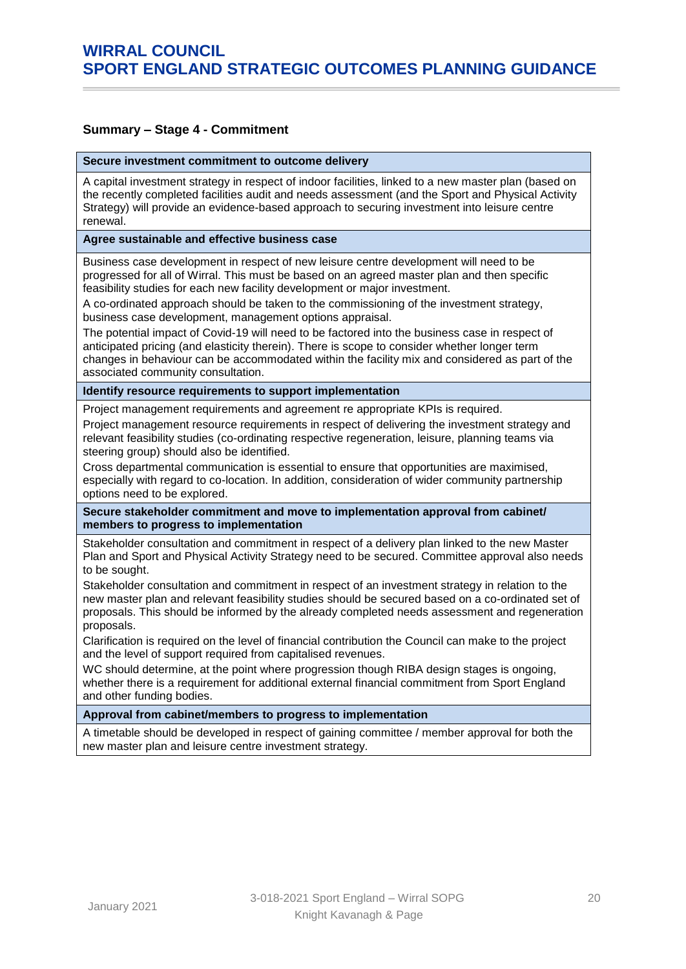#### **Summary – Stage 4 - Commitment**

#### **Secure investment commitment to outcome delivery**

A capital investment strategy in respect of indoor facilities, linked to a new master plan (based on the recently completed facilities audit and needs assessment (and the Sport and Physical Activity Strategy) will provide an evidence-based approach to securing investment into leisure centre renewal.

**Agree sustainable and effective business case**

Business case development in respect of new leisure centre development will need to be progressed for all of Wirral. This must be based on an agreed master plan and then specific feasibility studies for each new facility development or major investment.

A co-ordinated approach should be taken to the commissioning of the investment strategy, business case development, management options appraisal.

The potential impact of Covid-19 will need to be factored into the business case in respect of anticipated pricing (and elasticity therein). There is scope to consider whether longer term changes in behaviour can be accommodated within the facility mix and considered as part of the associated community consultation.

#### **Identify resource requirements to support implementation**

Project management requirements and agreement re appropriate KPIs is required.

Project management resource requirements in respect of delivering the investment strategy and relevant feasibility studies (co-ordinating respective regeneration, leisure, planning teams via steering group) should also be identified.

Cross departmental communication is essential to ensure that opportunities are maximised, especially with regard to co-location. In addition, consideration of wider community partnership options need to be explored.

**Secure stakeholder commitment and move to implementation approval from cabinet/ members to progress to implementation**

Stakeholder consultation and commitment in respect of a delivery plan linked to the new Master Plan and Sport and Physical Activity Strategy need to be secured. Committee approval also needs to be sought.

Stakeholder consultation and commitment in respect of an investment strategy in relation to the new master plan and relevant feasibility studies should be secured based on a co-ordinated set of proposals. This should be informed by the already completed needs assessment and regeneration proposals.

Clarification is required on the level of financial contribution the Council can make to the project and the level of support required from capitalised revenues.

WC should determine, at the point where progression though RIBA design stages is ongoing, whether there is a requirement for additional external financial commitment from Sport England and other funding bodies.

#### **Approval from cabinet/members to progress to implementation**

A timetable should be developed in respect of gaining committee / member approval for both the new master plan and leisure centre investment strategy.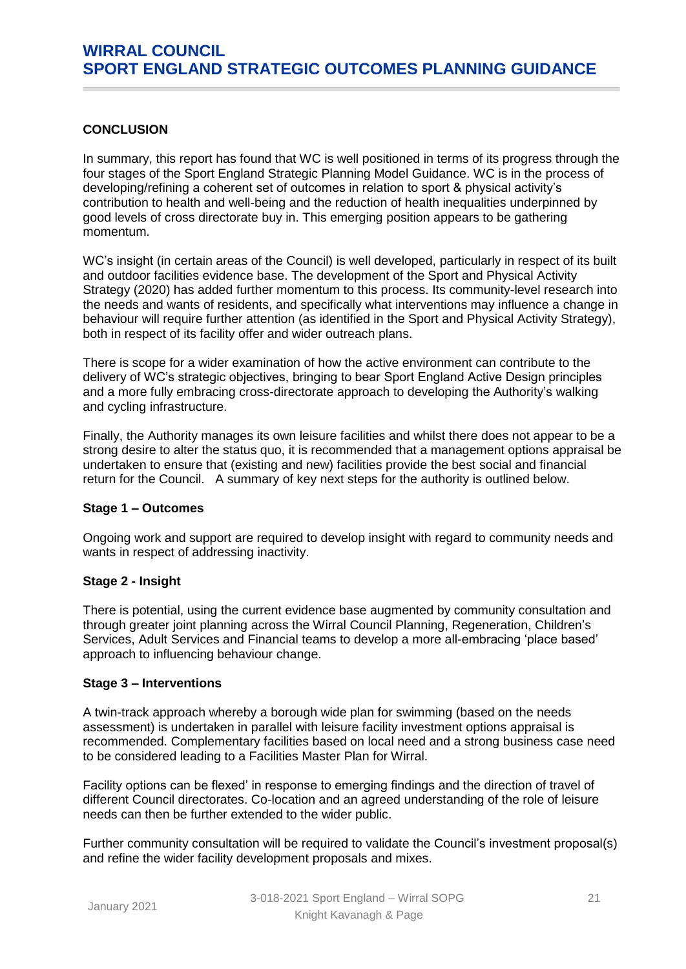## <span id="page-25-0"></span>**CONCLUSION**

In summary, this report has found that WC is well positioned in terms of its progress through the four stages of the Sport England Strategic Planning Model Guidance. WC is in the process of developing/refining a coherent set of outcomes in relation to sport & physical activity's contribution to health and well-being and the reduction of health inequalities underpinned by good levels of cross directorate buy in. This emerging position appears to be gathering momentum.

WC's insight (in certain areas of the Council) is well developed, particularly in respect of its built and outdoor facilities evidence base. The development of the Sport and Physical Activity Strategy (2020) has added further momentum to this process. Its community-level research into the needs and wants of residents, and specifically what interventions may influence a change in behaviour will require further attention (as identified in the Sport and Physical Activity Strategy), both in respect of its facility offer and wider outreach plans.

There is scope for a wider examination of how the active environment can contribute to the delivery of WC's strategic objectives, bringing to bear Sport England Active Design principles and a more fully embracing cross-directorate approach to developing the Authority's walking and cycling infrastructure.

Finally, the Authority manages its own leisure facilities and whilst there does not appear to be a strong desire to alter the status quo, it is recommended that a management options appraisal be undertaken to ensure that (existing and new) facilities provide the best social and financial return for the Council. A summary of key next steps for the authority is outlined below.

## **Stage 1 – Outcomes**

Ongoing work and support are required to develop insight with regard to community needs and wants in respect of addressing inactivity.

## **Stage 2 - Insight**

There is potential, using the current evidence base augmented by community consultation and through greater joint planning across the Wirral Council Planning, Regeneration, Children's Services, Adult Services and Financial teams to develop a more all-embracing 'place based' approach to influencing behaviour change.

#### **Stage 3 – Interventions**

A twin-track approach whereby a borough wide plan for swimming (based on the needs assessment) is undertaken in parallel with leisure facility investment options appraisal is recommended. Complementary facilities based on local need and a strong business case need to be considered leading to a Facilities Master Plan for Wirral.

Facility options can be flexed' in response to emerging findings and the direction of travel of different Council directorates. Co-location and an agreed understanding of the role of leisure needs can then be further extended to the wider public.

Further community consultation will be required to validate the Council's investment proposal(s) and refine the wider facility development proposals and mixes.